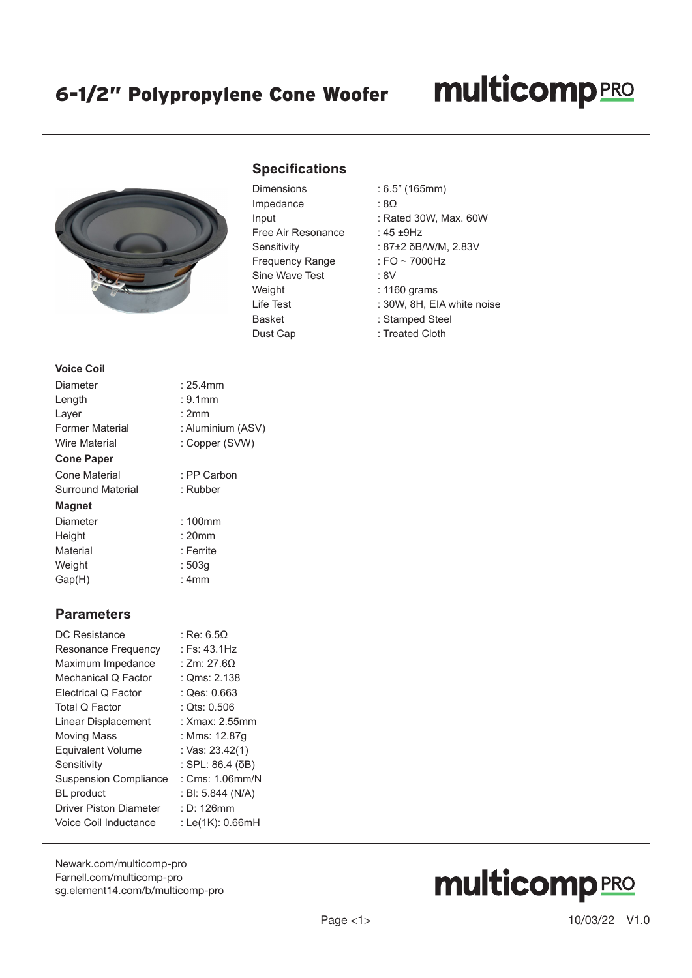### **multicomp**PRO



### **Specifications**

| <b>Dimensions</b>      | : 6.5" (165mm)     |
|------------------------|--------------------|
| Impedance              | : 8 $\Omega$       |
| Input                  | : Rated 30W, M     |
| Free Air Resonance     | : 45 ±9Hz          |
| Sensitivity            | : 87±2 δB/W/M      |
| <b>Frequency Range</b> | : FO $\sim$ 7000Hz |
| Sine Wave Test         | : 8V               |
| Weight                 | : 1160 grams       |
| Life Test              | : 30W, 8H, EIA     |
| <b>Basket</b>          | : Stamped Stee     |
| Dust Cap               | : Treated Cloth    |

- 
- $:8\Omega$
- : Rated 30W, Max. 60W
- :  $45 + 9$ Hz
- : 87±2 δB/W/M, 2.83V
- $:$  FO  $\sim$  7000Hz
- $\cdot$  8V
- $: 1160$  grams
- : 30W, 8H, EIA white noise
- : Stamped Steel
- : Treated Cloth

#### **Voice Coil**

| Diameter                 | $:25.4$ mm        |
|--------------------------|-------------------|
| Length                   | $: 9.1$ mm        |
| Layer                    | : 2mm             |
| <b>Former Material</b>   | : Aluminium (ASV) |
| <b>Wire Material</b>     | : Copper (SVW)    |
| <b>Cone Paper</b>        |                   |
| Cone Material            | : PP Carbon       |
| <b>Surround Material</b> | : Rubber          |
| <b>Magnet</b>            |                   |
| Diameter                 | $:100$ mm         |
| Height                   | : 20mm            |
| Material                 | : Ferrite         |
| Weight                   | : 503q            |
| Gap(H)                   | : 4mm             |

#### **Parameters**

| DC Resistance                 | : Re: 6.5 $\Omega$ |
|-------------------------------|--------------------|
| Resonance Frequency           | : Fs: $43.1Hz$     |
| Maximum Impedance             | : Zm: 27.6Ω        |
| Mechanical Q Factor           | : Qms: 2.138       |
| Electrical Q Factor           | : Qes: 0.663       |
| Total Q Factor                | : Ots: 0.506       |
| Linear Displacement           | : Xmax: 2.55mm     |
| Moving Mass                   | : Mms: 12.87q      |
| <b>Equivalent Volume</b>      | : Vas: 23.42(1)    |
| Sensitivity                   | : SPL: 86.4 (δB)   |
| <b>Suspension Compliance</b>  | : $Cms: 1.06mm/N$  |
| <b>BL</b> product             | : BI: 5.844 (N/A)  |
| <b>Driver Piston Diameter</b> | $: D: 126$ mm      |
| Voice Coil Inductance         | : Le(1K): 0.66mH   |
|                               |                    |

[Newark.com/multicomp-](https://www.newark.com/multicomp-pro)pro [Farnell.com/multicomp](https://www.farnell.com/multicomp-pro)-pro [sg.element14.com/b/multicomp-pro](https://sg.element14.com/b/multicomp-pro)

# **multicomp**PRO